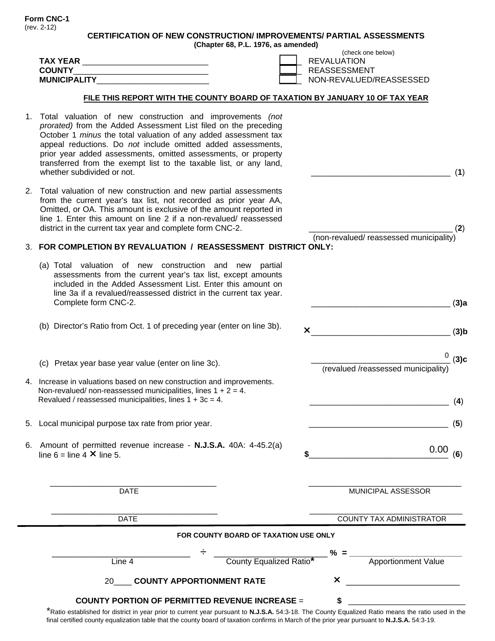**Form CNC-1**  (rev. 2-12)

**(Chapter 68, P.L. 1976, as amended)** 

\_\_\_\_\_\_\_\_\_\_\_\_\_\_\_\_\_\_\_\_\_\_\_\_\_\_\_\_\_\_\_ (**1**)

(non-revalued/ reassessed municipality)

\_\_\_\_\_\_\_\_\_\_\_\_\_\_\_\_\_\_\_\_\_\_\_\_\_\_\_\_\_\_\_ (**3)a** 

\_\_\_\_\_\_\_\_\_\_\_\_\_\_\_\_\_\_\_\_\_\_\_\_\_\_\_\_\_\_\_ (**3)b**

 \_\_\_\_\_\_\_\_\_\_\_\_\_\_\_\_\_\_\_\_\_\_\_\_\_\_\_\_\_\_\_ (**3)c**  (revalued /reassessed municipality)

0

 $0.00_{(6)}$ 

\_\_\_\_\_\_\_\_\_\_\_\_\_\_\_\_\_\_\_\_\_\_\_\_\_\_\_\_\_\_\_ (**5**)

| <b>TAX YEAR</b><br><b>COUNTY</b><br><b>MUNICIPALITY</b>                      | (check one below)<br><b>REVALUATION</b><br>REASSESSMENT<br>NON-REVALUED/REASSESSED |
|------------------------------------------------------------------------------|------------------------------------------------------------------------------------|
| FILE THIS REPORT WITH THE COUNTY BOARD OF TAXATION BY JANUARY 10 OF TAX YEAR |                                                                                    |
| Total valuation of new construction and improvements (not                    |                                                                                    |

- 1. Total valuation of new construction and improvements *(not prorated)* from the Added Assessment List filed on the preceding October 1 *minus* the total valuation of any added assessment tax appeal reductions. Do *not* include omitted added assessments, prior year added assessments, omitted assessments, or property transferred from the exempt list to the taxable list, or any land, whether subdivided or not.
- 2. Total valuation of new construction and new partial assessments from the current year's tax list, not recorded as prior year AA, Omitted, or OA. This amount is exclusive of the amount reported in line 1. Enter this amount on line 2 if a non-revalued/ reassessed district in the current tax year and complete form CNC-2.  $(2)$

## 3. **FOR COMPLETION BY REVALUATION / REASSESSMENT DISTRICT ONLY:**

- (a) Total valuation of new construction and new partial assessments from the current year's tax list, except amounts included in the Added Assessment List. Enter this amount on line 3a if a revalued/reassessed district in the current tax year. Complete form CNC-2.
- (b) Director's Ratio from Oct. 1 of preceding year (enter on line 3b).
- (c) Pretax year base year value (enter on line 3c).
- 4. Increase in valuations based on new construction and improvements. Non-revalued/ non-reassessed municipalities, lines  $1 + 2 = 4$ . Revalued / reassessed municipalities, lines  $1 + 3c = 4$ .  $(4)$
- 5. Local municipal purpose tax rate from prior year.
- 6. Amount of permitted revenue increase **N.J.S.A.** 40A: 4-45.2(a)  $\lim_{x \to \infty} 6 = \lim_{x \to \infty} 4 \times \lim_{x \to \infty} 5$ .

 $\frac{1}{2}$  ,  $\frac{1}{2}$  ,  $\frac{1}{2}$  ,  $\frac{1}{2}$  ,  $\frac{1}{2}$  ,  $\frac{1}{2}$  ,  $\frac{1}{2}$  ,  $\frac{1}{2}$  ,  $\frac{1}{2}$  ,  $\frac{1}{2}$  ,  $\frac{1}{2}$  ,  $\frac{1}{2}$  ,  $\frac{1}{2}$  ,  $\frac{1}{2}$  ,  $\frac{1}{2}$  ,  $\frac{1}{2}$  ,  $\frac{1}{2}$  ,  $\frac{1}{2}$  ,  $\frac{1$ DATE **DATE DATE** MUNICIPAL ASSESSOR  $\_$  , and the set of the set of the set of the set of the set of the set of the set of the set of the set of the set of the set of the set of the set of the set of the set of the set of the set of the set of the set of th DATE COUNTY TAX ADMINISTRATOR **FOR COUNTY BOARD OF TAXATION USE ONLY**  \_\_\_\_\_\_\_\_\_\_\_\_\_\_\_\_\_\_\_\_\_\_\_\_\_\_\_\_ ÷\_\_\_\_\_\_\_\_\_\_\_\_\_\_\_\_\_\_\_\_\_\_\_ **% = \_\_\_\_\_\_\_\_\_\_\_\_\_\_\_\_\_\_\_\_\_\_\_\_\_ Line 4 County Equalized Ratio<sup>\*</sup> Apportionment Value** 20 COUNTY APPORTIONMENT RATE **X COUNTY PORTION OF PERMITTED REVENUE INCREASE** = **\$** \_\_\_\_\_\_\_\_\_\_\_\_\_\_\_\_\_\_\_\_\_\_\_\_\_\_

\*Ratio established for district in year prior to current year pursuant to **N.J.S.A.** 54:3-18. The County Equalized Ratio means the ratio used in the final certified county equalization table that the county board of taxation confirms in March of the prior year pursuant to **N.J.S.A.** 54:3-19.